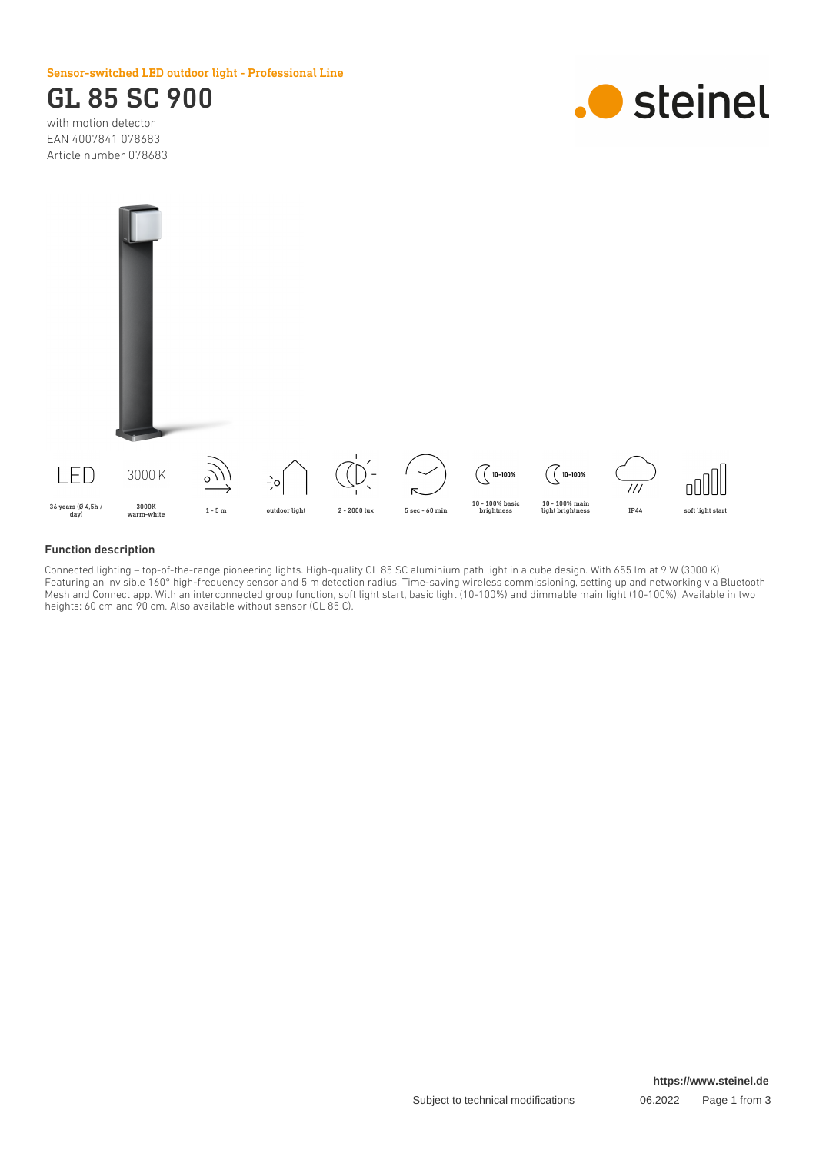Sensor-switched LED outdoor light - Professional Line

## GL 85 SC 900

with motion detector EAN 4007841 078683 Article number 078683





#### Function description

Connected lighting – top-of-the-range pioneering lights. High-quality GL 85 SC aluminium path light in a cube design. With 655 lm at 9 W (3000 K). Featuring an invisible 160° high-frequency sensor and 5 m detection radius. Time-saving wireless commissioning, setting up and networking via Bluetooth Mesh and Connect app. With an interconnected group function, soft light start, basic light (10-100%) and dimmable main light (10-100%). Available in two heights: 60 cm and 90 cm. Also available without sensor (GL 85 C).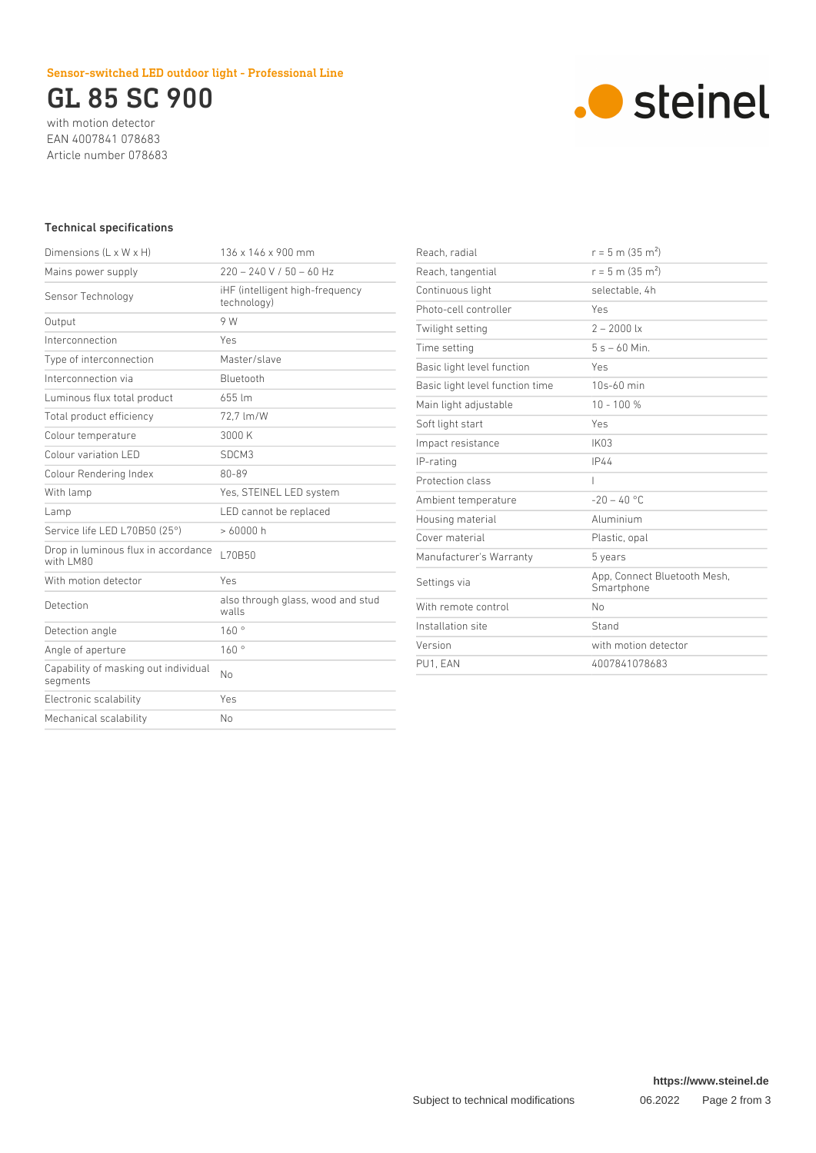### Sensor-switched LED outdoor light - Professional Line

## GL 85 SC 900

with motion detector EAN 4007841 078683 Article number 078683



#### Technical specifications

| Dimensions $(L \times W \times H)$                | 136 x 146 x 900 mm                             |
|---------------------------------------------------|------------------------------------------------|
| Mains power supply                                | $220 - 240$ V / 50 - 60 Hz                     |
| Sensor Technology                                 | iHF (intelligent high-frequency<br>technology) |
| Output                                            | 9 W                                            |
| Interconnection                                   | Yes                                            |
| Type of interconnection                           | Master/slave                                   |
| Interconnection via                               | Bluetooth                                      |
| Luminous flux total product                       | 655 lm                                         |
| Total product efficiency                          | 72.7 lm/W                                      |
| Colour temperature                                | 3000 K                                         |
| Colour variation LED                              | SDCM3                                          |
| Colour Rendering Index                            | 80-89                                          |
| With lamp                                         | Yes, STEINEL LED system                        |
| Lamp                                              | LED cannot be replaced                         |
| Service life LED L70B50 (25°)                     | >60000h                                        |
| Drop in luminous flux in accordance<br>with I M80 | L70B50                                         |
| With motion detector                              | Yes                                            |
| Detection                                         | also through glass, wood and stud<br>walls     |
| Detection angle                                   | 160°                                           |
| Angle of aperture                                 | 160°                                           |
| Capability of masking out individual<br>segments  | No                                             |
| Electronic scalability                            | Yes                                            |
| Mechanical scalability                            | No                                             |
|                                                   |                                                |

| Reach, radial                   | $r = 5$ m (35 m <sup>2</sup> )             |
|---------------------------------|--------------------------------------------|
| Reach, tangential               | $r = 5$ m (35 m <sup>2</sup> )             |
| Continuous light                | selectable. 4h                             |
| Photo-cell controller           | Yes                                        |
| Twilight setting                | $2 - 2000$ lx                              |
| Time setting                    | $5s - 60$ Min.                             |
| Basic light level function      | Yes                                        |
| Basic light level function time | $10s-60$ min                               |
| Main light adjustable           | $10 - 100 %$                               |
| Soft light start                | Yes                                        |
| Impact resistance               | IK03                                       |
| IP-rating                       | <b>IP44</b>                                |
| Protection class                | I                                          |
| Ambient temperature             | $-20 - 40$ °C                              |
| Housing material                | Aluminium                                  |
| Cover material                  | Plastic, opal                              |
| Manufacturer's Warranty         | 5 years                                    |
| Settings via                    | App, Connect Bluetooth Mesh,<br>Smartphone |
| With remote control             | No                                         |
| Installation site               | Stand                                      |
| Version                         | with motion detector                       |
| PU1. EAN                        | 4007841078683                              |